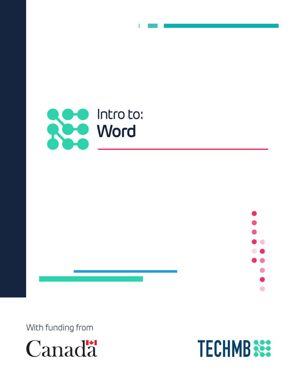



With funding from



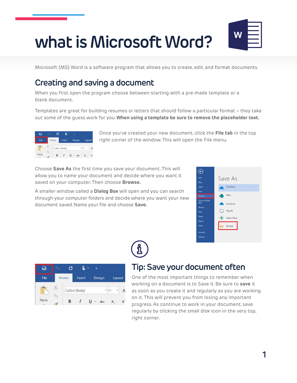# **what is Microsoft Word?**



Microsoft (MS) Word is a software program that allows you to create, edit, and format documents.

### **Creating and saving a document**

When you first open the program choose between starting with a pre-made template or a blank document.

Templates are great for building resumes or letters that should follow a particular format – they take out some of the guess work for you. **When using a template be sure to remove the placeholder text.**



Once you've created your new document, click the **File tab** in the top right corner of the window. This will open the File menu.

Choose **Save As** the first time you save your document. This will allow you to name your document and decide where you want it saved on your computer. Then choose **Browse.**

A smaller window called a **Dialog Box** will open and you can search through your computer folders and decide where you want your new document saved. Name your file and choose **Save.**





# **Tip: Save your document often**

One of the most important things to remember when working on a document is to Save it. Be sure to **save** it as soon as you create it and regularly as you are working on it. This will prevent you from losing any important progress. As continue to work in your document, save regularly by clicking the small disk icon in the very top, right corner.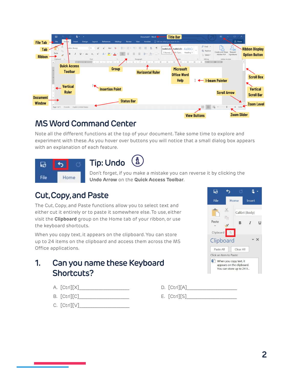

## **MS Word Command Center**

Note all the different functions at the top of your document. Take some time to explore and experiment with these. As you hover over buttons you will notice that a small dialog box appears with an explanation of each feature.



(រំ **Tip: Undo**

Don't forget, if you make a mistake you can reverse it by clicking the **Undo Arrow** on the **Quick Access Toolbar**.

#### **Cut, Copy, and Paste**

The Cut, Copy, and Paste functions allow you to select text and either cut it entirely or to paste it somewhere else. To use, either visit the **Clipboard** group on the Home tab of your ribbon, or use the keyboard shortcuts.

When you copy text, it appears on the clipboard. You can store up to 24 items on the clipboard and access them across the MS Office applications.

#### **1. Can you name these Keyboard Shortcuts?**

- A. [Ctrl][X]\_\_\_\_\_\_\_\_\_\_\_\_\_\_\_\_\_\_\_\_\_\_\_
- B. [Ctrl][C]\_\_\_\_\_\_\_\_\_\_\_\_\_\_\_\_\_\_\_\_\_\_\_
- $C.$  [Ctrl][V] $\_\_$



- $D.$   $[Ctrl][A]$
- $E.$  [Ctrl][S]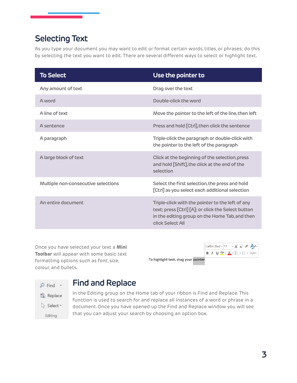## **Selecting Text**

As you type your document you may want to edit or format certain words, titles, or phrases; do this by selecting the text you want to edit. There are several different ways to select or highlight text.

| <b>To Select</b>                    | Use the pointer to                                                                                                                                                           |
|-------------------------------------|------------------------------------------------------------------------------------------------------------------------------------------------------------------------------|
| Any amount of text                  | Drag over the text                                                                                                                                                           |
| A word                              | Double-click the word                                                                                                                                                        |
| A line of text                      | Move the pointer to the left of the line, then left                                                                                                                          |
| A sentence                          | Press and hold [Ctrl], then click the sentence                                                                                                                               |
| A paragraph                         | Triple-click the paragraph or double-click with<br>the pointer to the left of the paragraph                                                                                  |
| A large block of text               | Click at the beginning of the selection, press<br>and hold [Shift], the click at the end of the<br>selection                                                                 |
| Multiple non-consecutive selections | Select the first selection, the press and hold<br>[Ctrl] as you select each additional selection                                                                             |
| An entire document                  | Triple-click with the pointer to the left of any<br>text; press [Ctrl] [A]; or click the Select button<br>in the editing group on the Home Tab, and then<br>click Select All |

Once you have selected your text a **Mini Toolbar** will appear with some basic text formatting options such as font, size, colour, and bullets.

**B**  $I \cup \frac{ab}{2} \cdot A \cdot \frac{ac}{2} \cdot \frac{1}{2} \cdot$  Styles To highlight text, drag your pointer

Calibri (Bod - 11 - A A V A



#### **Find and Replace**

In the Editing group on the Home tab of your ribbon is Find and Replace. This function is used to search for and replace all instances of a word or phrase in a document. Once you have opened up the Find and Replace window you will see that you can adjust your search by choosing an option box.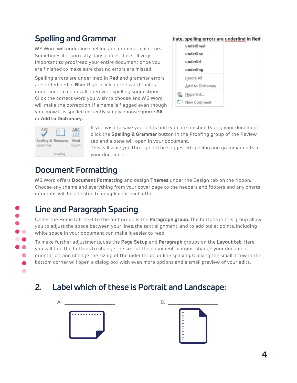# **Spelling and Grammar**

MS Word will underline spelling and grammatical errors. Sometimes it incorrectly flags names. It is still very important to proofread your entire document once you are finished to make sure that no errors are missed.

Spelling errors are underlined in **Red** and grammar errors are underlined in **Blue**. Right click on the word that is underlined, a menu will open with spelling suggestions. Click the correct word you wish to choose and MS Word will make the correction. If a name is flagged even though you know it is spelled correctly simply choose **Ignore All** or **Add to Dictionary.**





 $\bullet$ **. .**  $\bullet$  $\bullet$  $\bullet$  $\bullet$  If you wish to save your edits until you are finished typing your document, click the **Spelling & Grammar** button in the Proofing group of the Review tab and a pane will open in your document.

This will walk you through all the suggested spelling and grammar edits in your document.

# **Document Formatting**

MS Word offers **Document Formatting** and design **Themes** under the Design tab on the ribbon. Choose any theme and everything from your cover page to the headers and footers and any charts or graphs will be adjusted to compliment each other.

# **Line and Paragraph Spacing**

Under the Home tab, next to the font group is the **Paragraph group**. The buttons in this group allow you to adjust the space between your lines, the text alignment, and to add bullet points. Including white space in your document can make it easier to read.

To make further adjustments, use the **Page Setup** and **Paragraph** groups on the **Layout tab**. Here you will find the buttons to change the size of the document margins, change your document orientation, and change the sizing of the indentation or line spacing. Clicking the small arrow in the bottom corner will open a dialog box with even more options and a small preview of your edits.

# **2. Label which of these is Portrait and Landscape:**



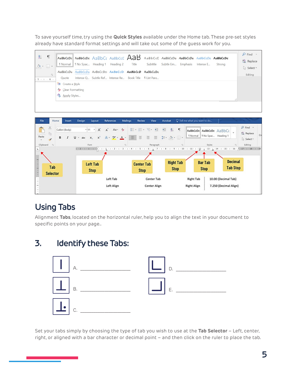To save yourself time, try using the **Quick Styles** available under the Home tab. These pre-set styles already have standard format settings and will take out some of the guess work for you.





# **Using Tabs**

Alignment **Tabs**, located on the horizontal ruler, help you to align the text in your document to specific points on your page..

## **3. Identify these Tabs:**



Set your tabs simply by choosing the type of tab you wish to use at the **Tab Selector** – Left, center, right, or aligned with a bar character or decimal point – and then click on the ruler to place the tab.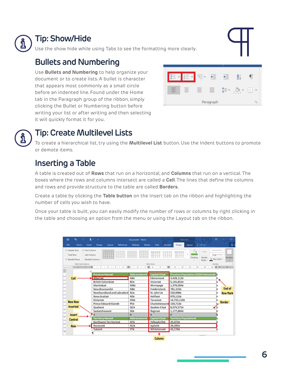

#### **Tip: Show/Hide**

Use the show hide while using Tabs to see the formatting more clearly.

#### **Bullets and Numbering**

Use **Bullets and Numbering** to help organize your document or to create lists. A bullet is character that appears most commonly as a small circle before an indented line. Found under the Home tab in the Paragraph group of the ribbon, simply clicking the Bullet or Numbering button before writing your list or after writing and then selecting it will quickly format it for you.





## **Tip: Create Multilevel Lists**

To create a hierarchical list, try using the **Multilevel List** button. Use the Indent buttons to promote or demote items.

### **Inserting a Table**

A table is created out of **Rows** that run on a horizontal, and **Columns** that run on a vertical. The boxes where the rows and columns intersect are called a **Cell**. The lines that define the columns and rows and provide structure to the table are called **Borders.**

Create a table by clicking the **Table button** on the Insert tab on the ribbon and highlighting the number of cells you wish to have.

Once your table is built, you can easily modify the number of rows or columns by right clicking in the table and choosing an option from the menu or using the Layout tab on the ribbon.

| ធ    | ь                                                         |                     | $\mathbf{2}$ .                |              |                        |                                | Document1 - Word |              |                      |         | <b>Table Tools</b>                    |         |                    | m                                    | $\Box$          |
|------|-----------------------------------------------------------|---------------------|-------------------------------|--------------|------------------------|--------------------------------|------------------|--------------|----------------------|---------|---------------------------------------|---------|--------------------|--------------------------------------|-----------------|
| File | Home                                                      |                     | <b>Insert</b>                 | Design       | Layout                 | References                     | <b>Mailings</b>  | Review       | View                 | Acrobat | Design                                | Layout  | Q Tell me.         |                                      | R۶              |
|      | V Header Row<br>Total Row<br>V Banded Rows Banded Columns | Table Style Options | V First Column<br>Last Column |              | 6666                   |                                |                  | Table Styles |                      |         |                                       | Shading | Border<br>Styles = | $%$ ot $-$<br>Pen Color -<br>Borders | <b>Borders</b>  |
|      |                                                           |                     |                               |              |                        |                                |                  |              |                      |         |                                       |         |                    |                                      |                 |
|      |                                                           |                     |                               |              | <b>Province Named</b>  |                                | Abbreviation¤    |              | <b>Capital-City#</b> |         | Province Population (2020 Estimate) E |         |                    |                                      |                 |
|      | Cell                                                      |                     |                               | Albertati    |                        |                                | ABH              |              | Edmontont            |         | 4,428,112#                            |         |                    |                                      |                 |
|      |                                                           |                     |                               |              | British-Columbiat      |                                | BCH              |              | Victoria¤            |         | 5.145.851#                            |         |                    |                                      |                 |
|      |                                                           |                     |                               | Manitobatt   |                        |                                | MBH              |              | Winnipeg¤            |         | 1,379,584#                            |         |                    |                                      |                 |
|      |                                                           |                     |                               |              | New-Brunswick¤         |                                | NBH              |              | Frederictont         |         | 781,315#                              |         |                    |                                      | End of          |
|      |                                                           |                     |                               |              |                        | Newfoundland and Labradord NLH |                  |              | St.-John's¤          |         | 520.998#                              |         |                    |                                      | <b>Row Mark</b> |
| -    |                                                           |                     |                               | Nova-Scotian |                        |                                | NSH              |              | Halifax¤             |         | 979,115#                              |         |                    |                                      |                 |
|      | <b>New Row</b>                                            |                     |                               | Ontario¤     |                        |                                | ON¤              |              | Toronto#             |         | 14,733,119#                           |         |                    |                                      | <b>Border</b>   |
|      |                                                           |                     |                               |              | Prince-Edward-Island¤  |                                | PEN              |              | Charlottetown        |         | 159,713#                              |         |                    |                                      |                 |
|      | <b>Inserted</b>                                           |                     |                               | Quebect      |                        |                                | QC#              |              | Quebec-City¤         |         | 8,574,571日                            |         |                    |                                      |                 |
| m    |                                                           |                     |                               |              | Saskatchewan¤          |                                | SKH              |              | Reginati             |         | 1,177,884                             |         |                    |                                      |                 |
| ÷    | Insert                                                    |                     |                               |              |                        |                                | 器                | 器            |                      |         | ъ                                     |         |                    |                                      |                 |
| ÷    | Control                                                   |                     |                               |              | <b>Territory-Name¤</b> |                                | Abbreviation¤    |              | <b>Capital-City#</b> |         | <b>Territory Population#</b>          |         |                    |                                      |                 |
|      |                                                           |                     |                               |              | Northwest-Territories¤ |                                | NTH              |              | Yellowknifet         |         | 45.074#                               |         |                    |                                      |                 |
| me.  | <b>Row</b>                                                |                     |                               | Nunavuta     |                        |                                | NU¤              |              | lgaluit¤             |         | 39,285#                               |         |                    |                                      |                 |
| w    |                                                           |                     |                               | Yukon¤       |                        |                                | <b>YTH</b>       |              | Whitehorse¤          |         | 42,176#                               |         |                    |                                      |                 |
| ÷    |                                                           |                     |                               |              |                        |                                |                  |              |                      |         |                                       |         |                    |                                      |                 |

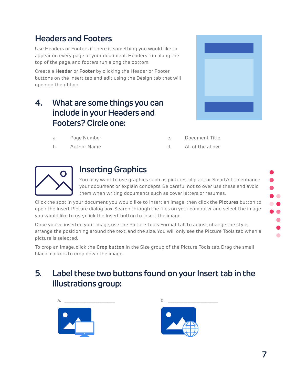# **Headers and Footers**

Use Headers or Footers if there is something you would like to appear on every page of your document. Headers run along the top of the page, and footers run along the bottom.

Create a **Header** or **Footer** by clicking the Header or Footer buttons on the Insert tab and edit using the Design tab that will open on the ribbon.

## **4. What are some things you can include in your Headers and Footers? Circle one:**



- a. Page Number
- b. Author Name

| С. | Document Title |  |
|----|----------------|--|
|    |                |  |

#### d. All of the above



### **Inserting Graphics**

You may want to use graphics such as pictures, clip art, or SmartArt to enhance your document or explain concepts. Be careful not to over use these and avoid them when writing documents such as cover letters or resumes.

Click the spot in your document you would like to insert an image, then click the **Pictures** button to open the Insert Picture dialog box. Search through the files on your computer and select the image you would like to use, click the Insert button to insert the image.

Once you've inserted your image, use the Picture Tools Format tab to adjust, change the style, arrange the positioning around the text, and the size. You will only see the Picture Tools tab when a picture is selected.

To crop an image, click the **Crop button** in the Size group of the Picture Tools tab. Drag the small black markers to crop down the image.

# **5. Label these two buttons found on your Insert tab in the Illustrations group:**





 $\bullet$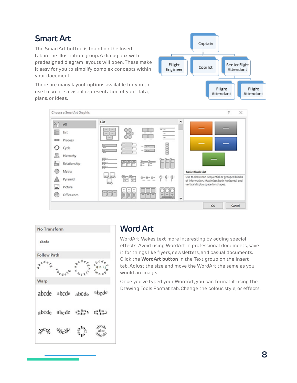# **Smart Art**

The SmartArt button is found on the Insert tab in the Illustration group. A dialog box with predesigned diagram layouts will open. These make it easy for you to simplify complex concepts within your document.

There are many layout options available for you to use to create a visual representation of your data, plans, or ideas.







### **Word Art**

WordArt Makes text more interesting by adding special effects. Avoid using WordArt in professional documents, save it for things like flyers, newsletters, and casual documents. Click the **WordArt button** in the Text group on the Insert tab. Adjust the size and move the WordArt the same as you would an image.

Once you've typed your WordArt, you can format it using the Drawing Tools Format tab. Change the colour, style, or effects.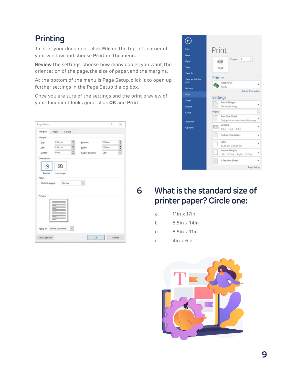# **Printing**

To print your document, click **File** on the top, left corner of your window and choose **Print** on the menu.

**Review** the settings, choose how many copies you want, the orientation of the page, the size of paper, and the margins.

At the bottom of the menu is Page Setup, click it to open up further settings in the Page Setup dialog box.

Once you are sure of the settings and the print preview of your document looks good, click **OK** and **Print**.

| Margins         | Paper                | Layout |                  |         |                      |
|-----------------|----------------------|--------|------------------|---------|----------------------|
| Margins         |                      |        |                  |         |                      |
| Top:            | 2.54 cm              | ÷      | Bottom:          | 2.54 cm | $\ddot{\phantom{0}}$ |
| Left            | 2.54 cm              | ÷      | <b>Bight:</b>    | 2.54 cm | $\ddot{\phantom{0}}$ |
| Gutter:         | 0 cm                 | ÷      | Gutter position: | Left    | Q                    |
| Orientation     |                      |        |                  |         |                      |
| A               | $\boxed{\mathbf{A}}$ |        |                  |         |                      |
|                 |                      |        |                  |         |                      |
|                 |                      |        |                  |         |                      |
| Portrait        | Landscape            |        |                  |         |                      |
| Pages           |                      |        |                  |         |                      |
| Multiple pages: |                      | Normal |                  |         |                      |
|                 |                      |        |                  |         |                      |
|                 |                      |        |                  |         |                      |
| Preview         |                      |        |                  |         |                      |
|                 |                      |        |                  |         |                      |
|                 |                      |        |                  |         |                      |
|                 |                      |        |                  |         |                      |
|                 |                      |        |                  |         |                      |
|                 |                      |        |                  |         |                      |
|                 |                      |        |                  |         |                      |



## **6 What is the standard size of printer paper? Circle one:**

- a. 11in x 17in
- b. 8.5in x 14in
- c. 8.5in x 11in
- d.  $4in \times 6in$

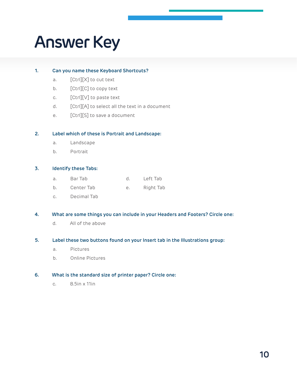# **Answer Key**

#### **1. Can you name these Keyboard Shortcuts?**

- a. [Ctrl][X] to cut text
- b. [Ctrl][C] to copy text
- c. [Ctrl][V] to paste text
- d. [Ctrl][A] to select all the text in a document
- e. [Ctrl][S] to save a document

#### **2. Label which of these is Portrait and Landscape:**

- a. Landscape
- b. Portrait

#### **3. Identify these Tabs:**

- a. Bar Tab d. Left Tab
- b. Center Tab e. Right Tab
- c. Decimal Tab

#### **4. What are some things you can include in your Headers and Footers? Circle one:**

d. All of the above

#### **5. Label these two buttons found on your Insert tab in the Illustrations group:**

- a. Pictures
- b. Online Pictures

#### **6. What is the standard size of printer paper? Circle one:**

c. 8.5in x 11in